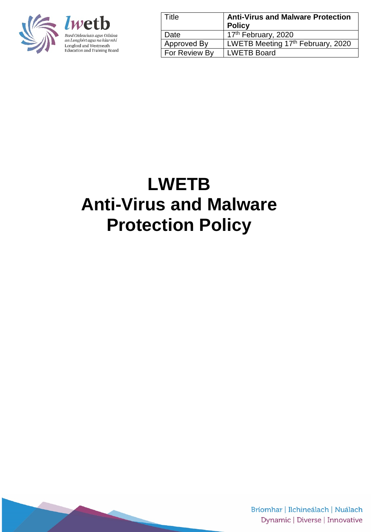

*lweth* Bord Oideachais agus Oiliúna an Longfoirt agus na hIarmhí Longford and Westmeath<br>Education and Training Board

| Title         | <b>Anti-Virus and Malware Protection</b><br><b>Policy</b> |
|---------------|-----------------------------------------------------------|
| Date          | 17 <sup>th</sup> February, 2020                           |
| Approved By   | LWETB Meeting 17th February, 2020                         |
| For Review By | <b>LWETB Board</b>                                        |

# **LWETB Anti-Virus and Malware Protection Policy**

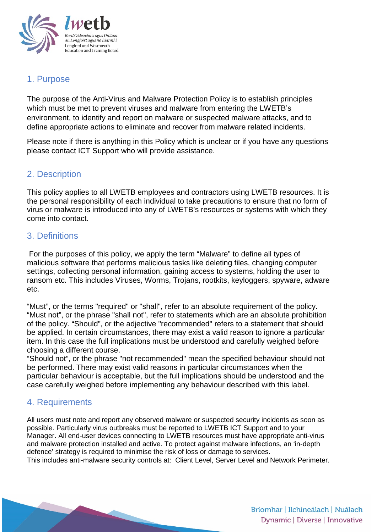

# 1. Purpose

The purpose of the Anti-Virus and Malware Protection Policy is to establish principles which must be met to prevent viruses and malware from entering the LWETB's environment, to identify and report on malware or suspected malware attacks, and to define appropriate actions to eliminate and recover from malware related incidents.

Please note if there is anything in this Policy which is unclear or if you have any questions please contact ICT Support who will provide assistance.

# 2. Description

This policy applies to all LWETB employees and contractors using LWETB resources. It is the personal responsibility of each individual to take precautions to ensure that no form of virus or malware is introduced into any of LWETB's resources or systems with which they come into contact.

# 3. Definitions

For the purposes of this policy, we apply the term "Malware" to define all types of malicious software that performs malicious tasks like deleting files, changing computer settings, collecting personal information, gaining access to systems, holding the user to ransom etc. This includes Viruses, Worms, Trojans, rootkits, keyloggers, spyware, adware etc.

"Must", or the terms "required" or "shall", refer to an absolute requirement of the policy. "Must not", or the phrase "shall not", refer to statements which are an absolute prohibition of the policy. "Should", or the adjective "recommended" refers to a statement that should be applied. In certain circumstances, there may exist a valid reason to ignore a particular item. In this case the full implications must be understood and carefully weighed before choosing a different course.

"Should not", or the phrase "not recommended" mean the specified behaviour should not be performed. There may exist valid reasons in particular circumstances when the particular behaviour is acceptable, but the full implications should be understood and the case carefully weighed before implementing any behaviour described with this label.

## 4. Requirements

All users must note and report any observed malware or suspected security incidents as soon as possible. Particularly virus outbreaks must be reported to LWETB ICT Support and to your Manager. All end-user devices connecting to LWETB resources must have appropriate anti-virus and malware protection installed and active. To protect against malware infections, an 'in-depth defence' strategy is required to minimise the risk of loss or damage to services. This includes anti-malware security controls at: Client Level, Server Level and Network Perimeter.